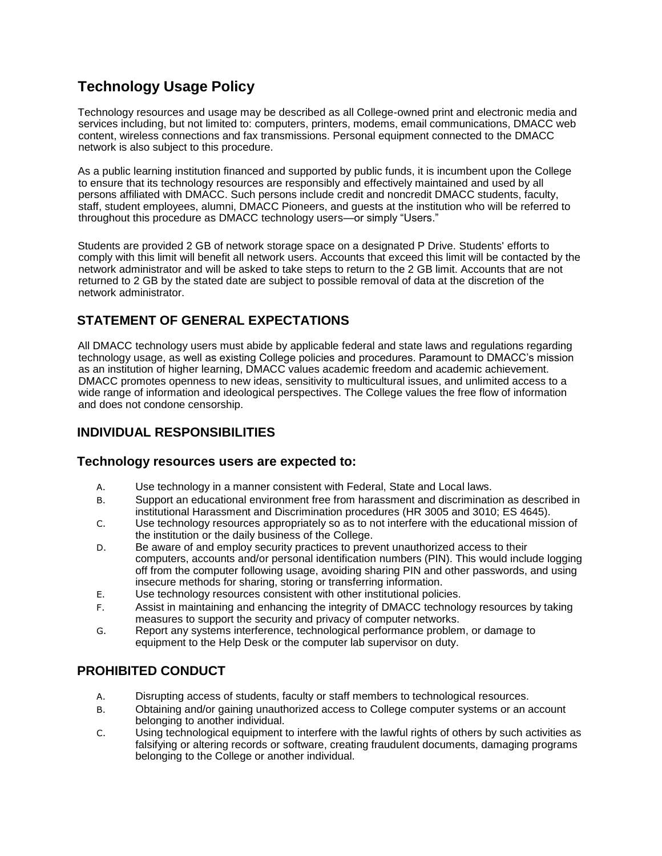# **Technology Usage Policy**

Technology resources and usage may be described as all College-owned print and electronic media and services including, but not limited to: computers, printers, modems, email communications, DMACC web content, wireless connections and fax transmissions. Personal equipment connected to the DMACC network is also subject to this procedure.

As a public learning institution financed and supported by public funds, it is incumbent upon the College to ensure that its technology resources are responsibly and effectively maintained and used by all persons affiliated with DMACC. Such persons include credit and noncredit DMACC students, faculty, staff, student employees, alumni, DMACC Pioneers, and guests at the institution who will be referred to throughout this procedure as DMACC technology users—or simply "Users."

Students are provided 2 GB of network storage space on a designated P Drive. Students' efforts to comply with this limit will benefit all network users. Accounts that exceed this limit will be contacted by the network administrator and will be asked to take steps to return to the 2 GB limit. Accounts that are not returned to 2 GB by the stated date are subject to possible removal of data at the discretion of the network administrator.

# **STATEMENT OF GENERAL EXPECTATIONS**

All DMACC technology users must abide by applicable federal and state laws and regulations regarding technology usage, as well as existing College policies and procedures. Paramount to DMACC's mission as an institution of higher learning, DMACC values academic freedom and academic achievement. DMACC promotes openness to new ideas, sensitivity to multicultural issues, and unlimited access to a wide range of information and ideological perspectives. The College values the free flow of information and does not condone censorship.

### **INDIVIDUAL RESPONSIBILITIES**

#### **Technology resources users are expected to:**

- A. Use technology in a manner consistent with Federal, State and Local laws.
- B. Support an educational environment free from harassment and discrimination as described in institutional Harassment and Discrimination procedures (HR 3005 and 3010; ES 4645).
- C. Use technology resources appropriately so as to not interfere with the educational mission of the institution or the daily business of the College.
- D. Be aware of and employ security practices to prevent unauthorized access to their computers, accounts and/or personal identification numbers (PIN). This would include logging off from the computer following usage, avoiding sharing PIN and other passwords, and using insecure methods for sharing, storing or transferring information.
- E. Use technology resources consistent with other institutional policies.
- F. Assist in maintaining and enhancing the integrity of DMACC technology resources by taking measures to support the security and privacy of computer networks.
- G. Report any systems interference, technological performance problem, or damage to equipment to the Help Desk or the computer lab supervisor on duty.

### **PROHIBITED CONDUCT**

- A. Disrupting access of students, faculty or staff members to technological resources.
- B. Obtaining and/or gaining unauthorized access to College computer systems or an account belonging to another individual.
- C. Using technological equipment to interfere with the lawful rights of others by such activities as falsifying or altering records or software, creating fraudulent documents, damaging programs belonging to the College or another individual.